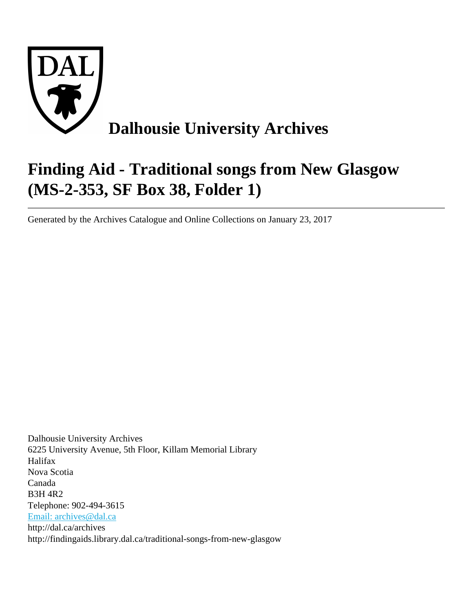

# **Finding Aid - Traditional songs from New Glasgow (MS-2-353, SF Box 38, Folder 1)**

Generated by the Archives Catalogue and Online Collections on January 23, 2017

Dalhousie University Archives 6225 University Avenue, 5th Floor, Killam Memorial Library Halifax Nova Scotia Canada B3H 4R2 Telephone: 902-494-3615 [Email: archives@dal.ca](mailto:Email: archives@dal.ca) http://dal.ca/archives http://findingaids.library.dal.ca/traditional-songs-from-new-glasgow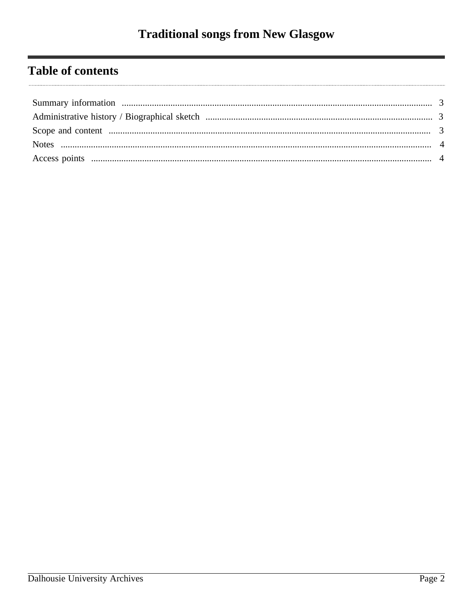# **Table of contents**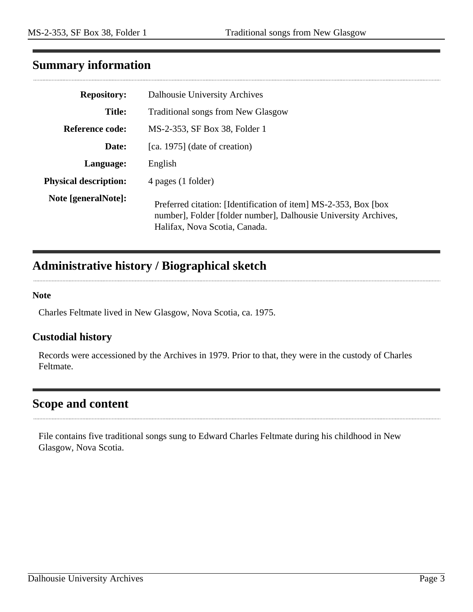# <span id="page-2-0"></span>**Summary information**

| <b>Repository:</b>           | Dalhousie University Archives                                                                                                                                        |
|------------------------------|----------------------------------------------------------------------------------------------------------------------------------------------------------------------|
| <b>Title:</b>                | <b>Traditional songs from New Glasgow</b>                                                                                                                            |
| Reference code:              | MS-2-353, SF Box 38, Folder 1                                                                                                                                        |
| Date:                        | [ca. 1975] (date of creation)                                                                                                                                        |
| Language:                    | English                                                                                                                                                              |
| <b>Physical description:</b> | 4 pages (1 folder)                                                                                                                                                   |
| Note [generalNote]:          | Preferred citation: [Identification of item] MS-2-353, Box [box]<br>number], Folder [folder number], Dalhousie University Archives,<br>Halifax, Nova Scotia, Canada. |

# <span id="page-2-1"></span>**Administrative history / Biographical sketch**

#### **Note**

Charles Feltmate lived in New Glasgow, Nova Scotia, ca. 1975.

#### **Custodial history**

Records were accessioned by the Archives in 1979. Prior to that, they were in the custody of Charles Feltmate.

# <span id="page-2-2"></span>**Scope and content**

File contains five traditional songs sung to Edward Charles Feltmate during his childhood in New Glasgow, Nova Scotia.